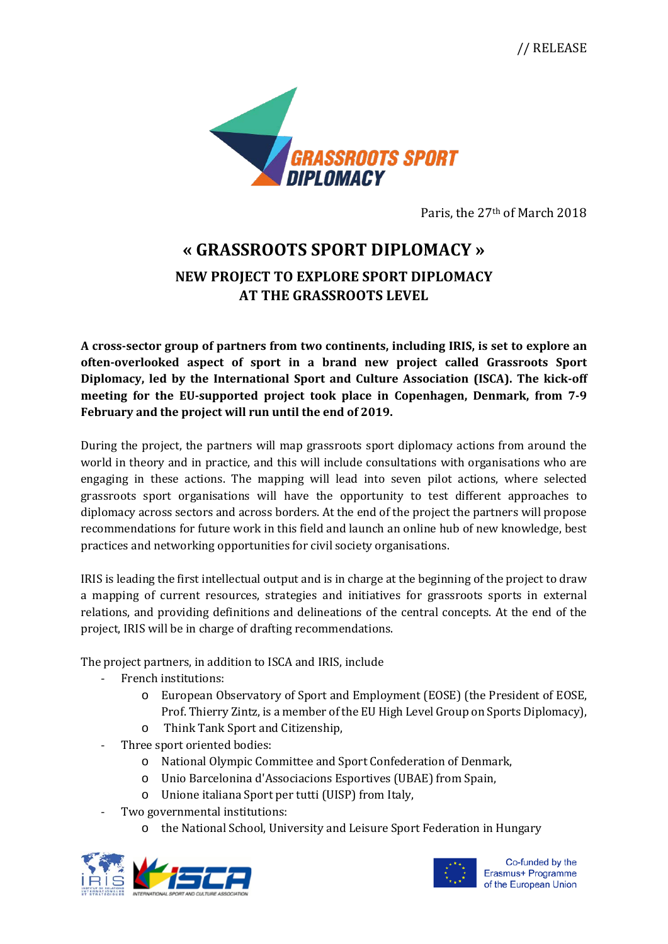// RELEASE



Paris, the 27th of March 2018

## **« GRASSROOTS SPORT DIPLOMACY »**

## **NEW PROJECT TO EXPLORE SPORT DIPLOMACY AT THE GRASSROOTS LEVEL**

**A cross-sector group of partners from two continents, including IRIS, is set to explore an often-overlooked aspect of sport in a brand new project called Grassroots Sport Diplomacy, led by the International Sport and Culture Association (ISCA). The kick-off meeting for the EU-supported project took place in Copenhagen, Denmark, from 7-9 February and the project will run until the end of 2019.**

During the project, the partners will map grassroots sport diplomacy actions from around the world in theory and in practice, and this will include consultations with organisations who are engaging in these actions. The mapping will lead into seven pilot actions, where selected grassroots sport organisations will have the opportunity to test different approaches to diplomacy across sectors and across borders. At the end of the project the partners will propose recommendations for future work in this field and launch an online hub of new knowledge, best practices and networking opportunities for civil society organisations.

IRIS is leading the first intellectual output and is in charge at the beginning of the project to draw a mapping of current resources, strategies and initiatives for grassroots sports in external relations, and providing definitions and delineations of the central concepts. At the end of the project, IRIS will be in charge of drafting recommendations.

The project partners, in addition to ISCA and IRIS, include

- French institutions:
	- o European Observatory of Sport and Employment (EOSE) (the President of EOSE, Prof. Thierry Zintz, is a member of the EU High Level Group on Sports Diplomacy),
	- o Think Tank Sport and Citizenship,
- Three sport oriented bodies:
	- o National Olympic Committee and Sport Confederation of Denmark,
	- o Unio Barcelonina d'Associacions Esportives (UBAE) from Spain,
	- o Unione italiana Sport per tutti (UISP) from Italy,
- Two governmental institutions:
	- the National School, University and Leisure Sport Federation in Hungary





Co-funded by the Erasmus+ Programme of the European Union